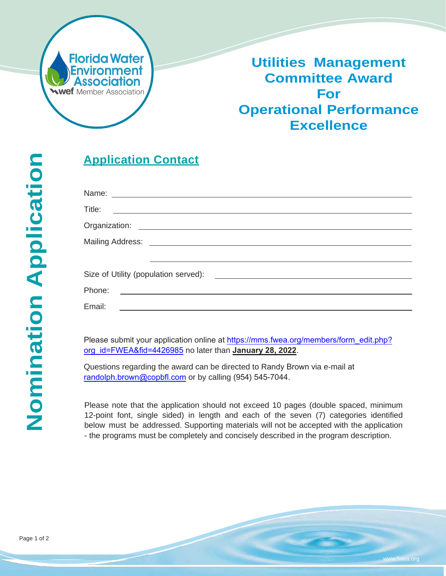

# **Utilities Management Committee Award For Operational Performance Excellence**

|     | <u>Appl</u>                  |
|-----|------------------------------|
| cat | Name:<br>Title:<br>Organiz   |
|     | Mailing                      |
|     | Size of<br>Phone:            |
|     | Email:                       |
|     | Please<br><u>org_id=</u>     |
|     | Questic<br>randolp           |
|     | Please<br>12-poin<br>below i |

# **<u>Iication Contact</u>**

| Title:<br><u> Terminal de la propincia de la propincia de la propincia de la propincia de la propincia de la propincia de l</u>                                                                                                                                                                                                                                                                                                                                                            |  |
|--------------------------------------------------------------------------------------------------------------------------------------------------------------------------------------------------------------------------------------------------------------------------------------------------------------------------------------------------------------------------------------------------------------------------------------------------------------------------------------------|--|
|                                                                                                                                                                                                                                                                                                                                                                                                                                                                                            |  |
|                                                                                                                                                                                                                                                                                                                                                                                                                                                                                            |  |
|                                                                                                                                                                                                                                                                                                                                                                                                                                                                                            |  |
| Phone:<br><u> 1989 - Johann Harry Harry Harry Harry Harry Harry Harry Harry Harry Harry Harry Harry Harry Harry Harry Harry</u>                                                                                                                                                                                                                                                                                                                                                            |  |
| Email:<br>$\begin{tabular}{lllllllllllll} \multicolumn{3}{l}{} & \multicolumn{3}{l}{} & \multicolumn{3}{l}{} & \multicolumn{3}{l}{} & \multicolumn{3}{l}{} & \multicolumn{3}{l}{} & \multicolumn{3}{l}{} & \multicolumn{3}{l}{} & \multicolumn{3}{l}{} & \multicolumn{3}{l}{} & \multicolumn{3}{l}{} & \multicolumn{3}{l}{} & \multicolumn{3}{l}{} & \multicolumn{3}{l}{} & \multicolumn{3}{l}{} & \multicolumn{3}{l}{} & \multicolumn{3}{l}{} & \multicolumn{3}{l}{} & \multicolumn{3}{l$ |  |

submit your application online at https://mms.fwea.org/members/form\_edit.php? org\_id=FWEA&fid=4426985 no later than **January 28, 2022**.

ons regarding the award can be directed to Randy Brown via e-mail at h.brown@copbfl.com or by calling (954) 545-7044.

note that the application should not exceed 10 pages (double spaced, minimum It font, single sided) in length and each of the seven (7) categories identified below must be addressed. Supporting materials will not be accepted with the application - the programs must be completely and concisely described in the program description.